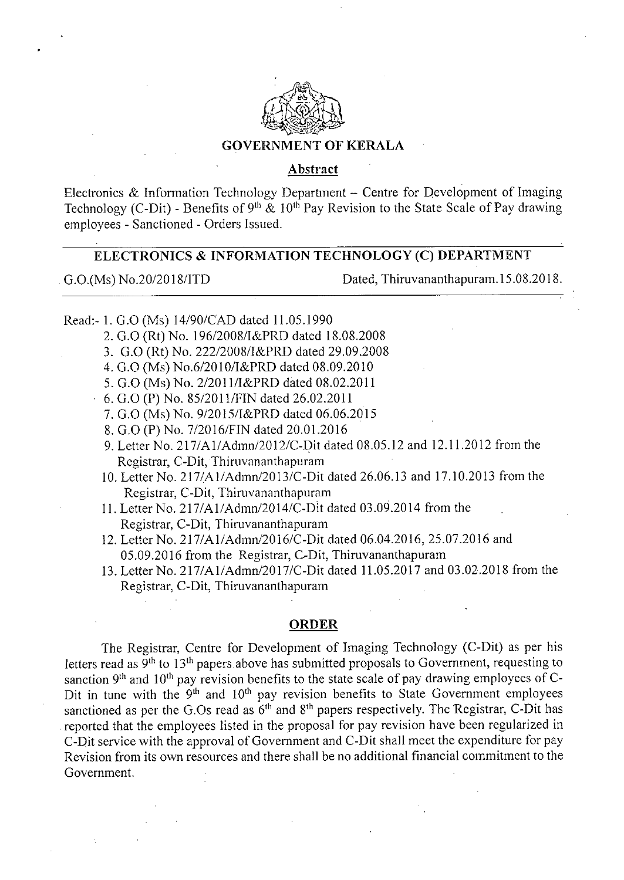

## **GOVERNMENT OF KERALA**

#### **Abstract**

Electronics & Information Technology Department  $-$  Centre for Development of Imaging Technology (C-Dit) - Benefits of 9<sup>th</sup> & 10<sup>th</sup> Pay Revision to the State Scale of Pay drawing employees - Sanctioned - Orders Issued.

## **ELECTRONICS** & **INFORMATION TECHNOLOGY (C) DEPARTMENT**

G.O.(Ms) No.20/2018/ITD Dated, Thiruvananthapuram. 15.08.2018.

Read:- 1.0.0 (Ms) 14/90/CAD dated 11.05.1990

- 0.0 (Rt) No. 196/2008/I&PRD dated 18.08.2008
- 0.0 (Rt) No. 222/2008/I&PRD dated 29.09.2008
- 0.0 (Ms) No.6/2010/I&PRD dated 08.09.2010
- 5. G.O (Ms) No. 2/2011/I&PRD dated 08.02.2011
- G.O (P) No. 85/2011/FIN dated 26.02.2011
- 0.0 (Ms) No. 9/2015/I&PRD dated 06.06.2015
- 0.0 (P) No. 7/2016/FIN dated 20.01.2016
- 9. Letter No. 217/A1/Admn/2012/C-Dit dated 08.05.12 and 12.11.2012 from the Registrar, C-Dit, Thiruvananthapuram
- Letter No. 217/Al/Admn/2013/C-Dit dated 26.06.13 and 17.10.2013 from the Registrar, C-Dit, Thiruvananthapuram
- Letter No. 211/A1/Admn/2014/C-Dit dated 03.09.2014 from the Registrar, C-Dit, Thiruvananthapuram
- Letter No. 217/A1/Admn/2016/C-Dit dated 06.04.2016, 25.07.2016 and 05.09.2016 from the Registrar, C-Dit, Thiruvananthapuram
- Letter No. 217/A1/Adrnn/2017/C-Dit dated 11.05.2017 and 03.02.2018 from the Registrar, C-Dit, Thiruvananthapuram

### **ORDER**

The Registrar, Centre for Development of Imaging Technology (C-Dit) as per his letters read as  $9<sup>th</sup>$  to  $13<sup>th</sup>$  papers above has submitted proposals to Government, requesting to sanction 9<sup>th</sup> and 10<sup>th</sup> pay revision benefits to the state scale of pay drawing employees of C-Dit in tune with the  $9<sup>th</sup>$  and  $10<sup>th</sup>$  pay revision benefits to State Government employees sanctioned as per the G.Os read as  $6<sup>th</sup>$  and  $8<sup>th</sup>$  papers respectively. The Registrar, C-Dit has reported that the employees listed in the proposal for pay revision have been regularized in C-Dit service with the approval of Government and C-Dit shall meet the expenditure for pay Revision from its own resources and there shall be no additional financial commitment to the Government.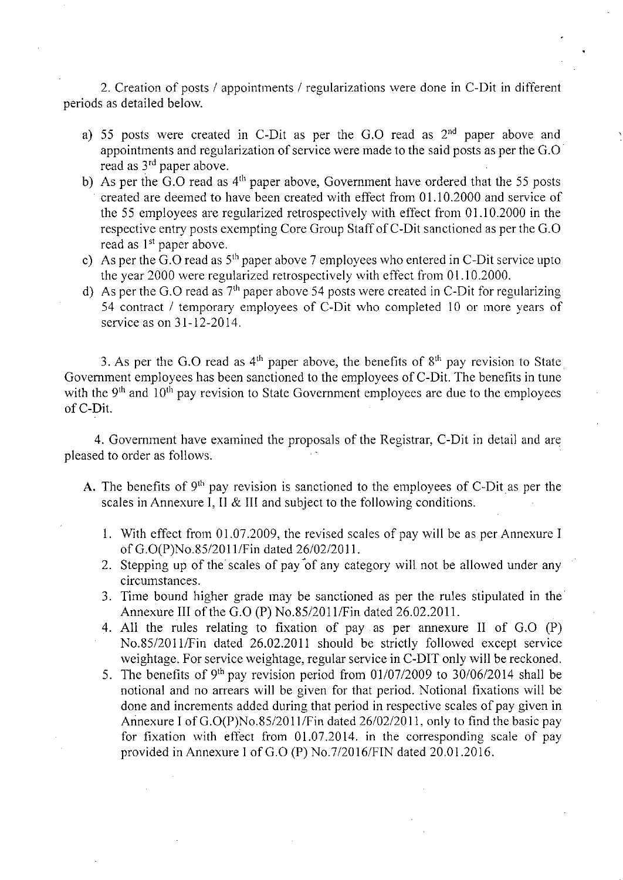2. Creation of posts / appointments / regularizations were done in C-Dit in different periods as detailed below.

- a) 55 posts were created in C-Dit as per the G.O read as  $2<sup>nd</sup>$  paper above and appointments and regularization of service were made to the said posts as per the G.0 read as 3<sup>rd</sup> paper above.
- b) As per the  $\overline{G}$ . C read as  $4<sup>th</sup>$  paper above, Government have ordered that the 55 posts created are deemed to have been created with effect from 01.10.2000 and service of the 55 employees are regularized retrospectively with effect from 01.10.2000 in the respective entry posts exempting Core Group Staff of C-Dit sanctioned as per the G.O read as  $1<sup>st</sup>$  paper above.
- c) As per the  $\overline{G}$ .  $\overline{O}$  read as  $5<sup>th</sup>$  paper above 7 employees who entered in C-Dit service upto the year 2000 were regularized retrospectively with effect from 01.10.2000.
- d) As per the G.O read as  $7<sup>th</sup>$  paper above 54 posts were created in C-Dit for regularizing 54 contract / temporary employees of C-Dit who completed 10 or more years of service as on 31-12-2014.

3. As per the G.O read as  $4<sup>th</sup>$  paper above, the benefits of  $8<sup>th</sup>$  pay revision to State Government employees has been sanctioned to the employees of C-Dit. The benefits in tune with the  $9<sup>th</sup>$  and  $10<sup>th</sup>$  pay revision to State Government employees are due to the employees of C-Dit.

4. Government have examined the proposals of the Registrar, C-Dit in detail and are pleased to order as follows.

- A. The benefits of  $9<sup>th</sup>$  pay revision is sanctioned to the employees of C-Dit as per the scales in Annexure I, II & III and subject to the following conditions.
	- With effect from 01.07.2009, the revised scales of pay will be as per Annexure I of G.0(P)No.85/20 11/Fin dated 26/02/2011.
	- 2. Stepping up of the scales of pay of any category will not be allowed under any circumstances.
	- 3. Time bound higher grade may be sanctioned as per the rules stipulated in the Annexure III of the G.O (P) No.85/2011/Fin dated 26.02.2011.
	- All the rules relating to fixation of pay as per annexure II of G.0 (P) No.85/201 1/Fin dated 26.02.2011 should be strictly followed except service weightage. For service weightage, regular service in C-DIT only will be reckoned.
	- 5. The benefits of 9<sup>th</sup> pay revision period from 01/07/2009 to 30/06/2014 shall be notional and no arrears will be given for that period. Notional fixations will be done and increments added during that period in respective scales of pay given in Annexure I of G.O(P)No.85/2011/Fin dated 26/02/2011, only to find the basic pay for fixation with effect from 01.07.2014. in the corresponding scale of pay provided in Annexure I of G.O (P) No.7/2016/FIN dated 20.01.2016.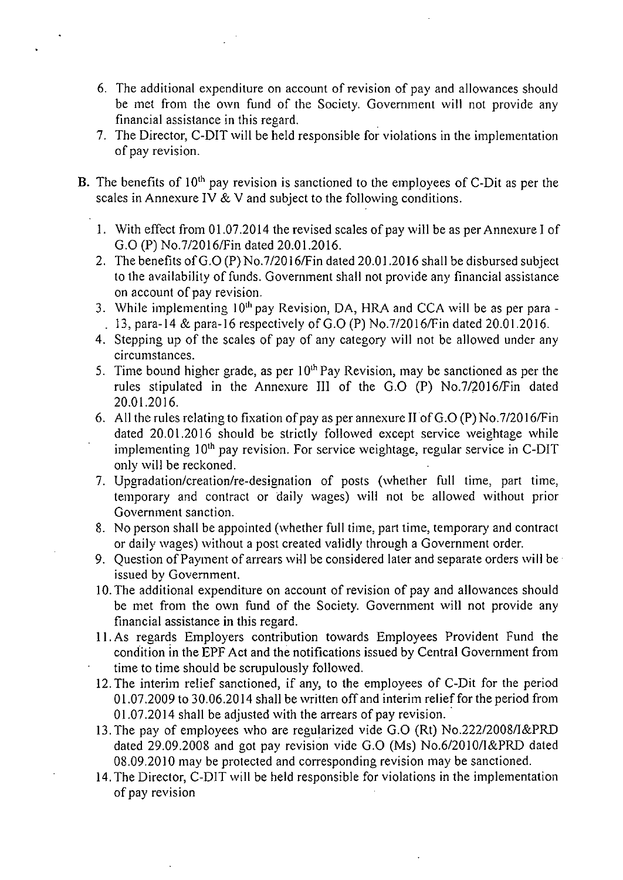- The additional expenditure on account of revision of pay and allowances should be met from the own fund of the Society. Government will not provide any financial assistance in this regard.
- 7. The Director, C-DIT will be held responsible for violations in the implementation of pay revision.
- B. The benefits of  $10<sup>th</sup>$  pay revision is sanctioned to the employees of C-Dit as per the scales in Annexure IV & V and subject to the following conditions.
	- With effect from 01.07.2014 the revised scales of pay will be as per Annexure I of G.0 (P) No.7/2016/Fin dated 20.01.2016.
	- 2. The benefits of G.O (P) No.7/2016/Fin dated 20.01.2016 shall be disbursed subject to the availability of funds. Government shall not provide any financial assistance on account of pay revision.
	- 3. While implementing 10<sup>th</sup> pay Revision, DA, HRA and CCA will be as per para -. 13, para-14 & para-16 respectively of G.O (P) No.7/2016/Fin dated  $20.01.2016$ .
	- Stepping up of the scales of pay of any category will not be allowed under any circumstances.
	- 5. Time bound higher grade, as per  $10<sup>th</sup>$  Pay Revision, may be sanctioned as per the rules stipulated in the Annexure III of the 0.0 (P) No.7/2016/Fin dated 20.01.2016.
	- 6. All the rules relating to fixation of pay as per annexure II of  $G.O(P)$  No. 7/2016/Fin dated 20.01.2016 should be strictly followed except service weightage while implementing  $10<sup>th</sup>$  pay revision. For service weightage, regular service in C-DIT only will be reckoned.
	- Upgradation/creation/re-designation of posts (whether full time, part time, temporary and contract or daily wages) will not be allowed without prior Government sanction.
	- No person shall be appointed (whether full time, part time, temporary and contract or daily wages) without a post created validly through a Government order.
	- 9. Question of Payment of arrears will be considered later and separate orders will be issued by Government.
	- 10. The additional expenditure on account of revision of pay and allowances should be met from the own fund of the Society. Government will not provide any financial assistance in this regard.
	- As regards Employers contribution towards Employees Provident Fund the condition in the EPF Act and the notifications issued by Central Government from time to time should be scrupulously followed.
	- 12.The interim relief sanctioned, if any, to the employees of C-Dit for the period 01.07.2009 to 30.06.2014 shall be written off and interim relief for the period from 01.07.2014 shall be adjusted with the arrears of pay revision.
	- 13.The pay of employees who are regularized vide G.O (Rt) No.222/2008/1&PRD dated 29.09.2008 and got pay revision vide G.0 (Ms) No.6/2010/1&PRD dated 08.09.20 10 may be protected and corresponding revision may be sanctioned.
	- 14.The Director, C-DIT will be held responsible for violations in the implementation of pay revision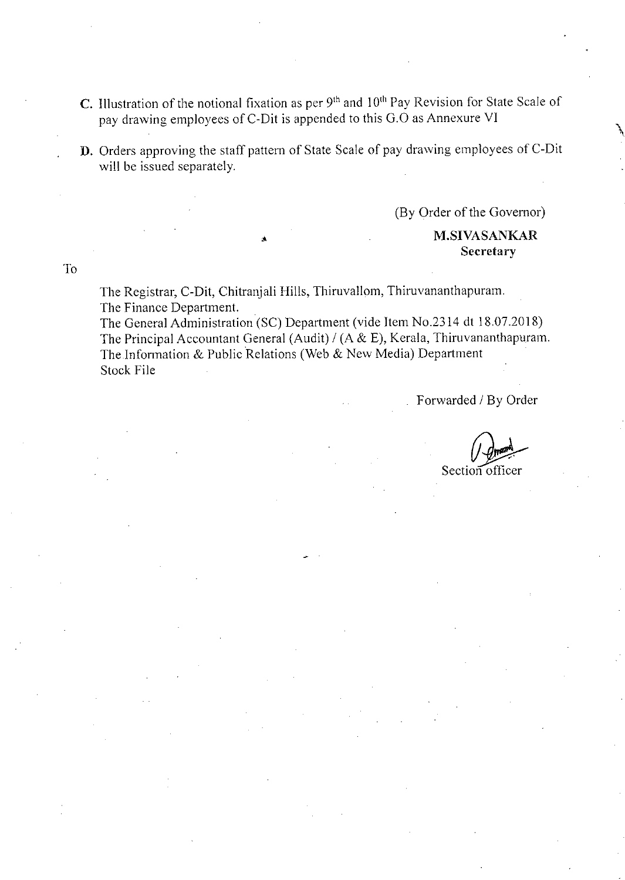- C. Illustration of the notional fixation as per  $9<sup>th</sup>$  and  $10<sup>th</sup>$  Pay Revision for State Scale of pay drawing employees of C-Dit is appended to this G.O as Annexure VI
- D. Orders approving the staff pattern of State Scale of pay drawing employees of C-Dit will be issued separately.

(By Order of the Governor)

## M.SIVASANKAR **Secretary**

T<sub>o</sub>

The Registrar, C-Dit, Chitranjali Hills, Thiruvallom, Thiruvananthapuram. The Finance Department.

The General Administration (SC) Department (vide Item No.2314 dt 18.07.2018) The Principal Accountant General (Audit) / (A & E), Kerala, Thiruvananthapuram. The Information & Public Relations (Web & New Media) Department Stock File

Forwarded / By Order

Section officer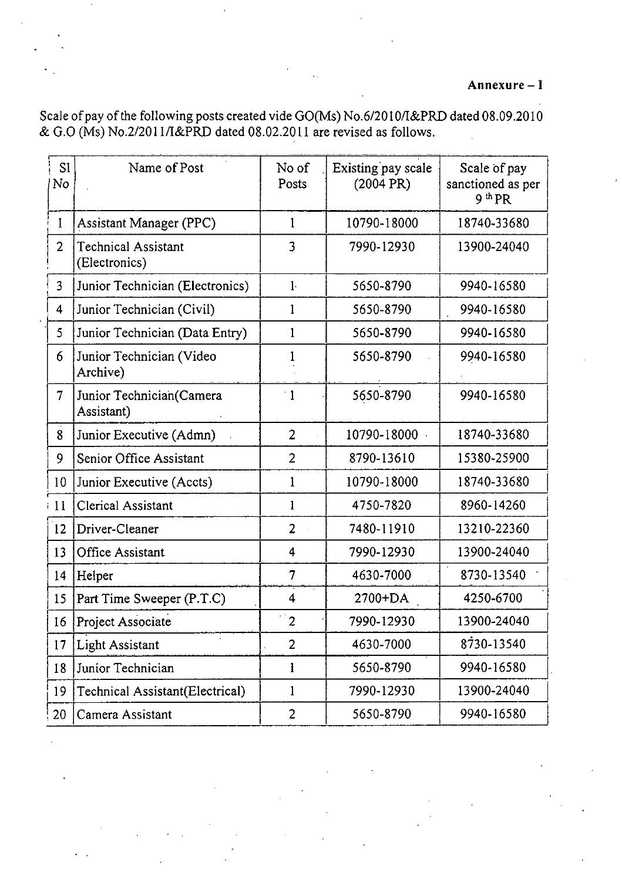Scale of pay of the following posts created vide GO(Ms) No.6/2010/I&PRD dated 08.09.2010 & G.O (Ms) No.2/2011/I&PRD dated  $08.02.2011$  are revised as follows.

| S1<br>No       | Name of Post                                | No of<br>Posts | Existing pay scale<br>(2004 PR) | Scale of pay<br>sanctioned as per<br>9 <sup>th</sup> PR |
|----------------|---------------------------------------------|----------------|---------------------------------|---------------------------------------------------------|
| 1              | <b>Assistant Manager (PPC)</b>              | 1              | 10790-18000                     | 18740-33680                                             |
| $\overline{2}$ | <b>Technical Assistant</b><br>(Electronics) | 3              | 7990-12930                      | 13900-24040                                             |
| 3              | Junior Technician (Electronics)             | $1 -$          | 5650-8790                       | 9940-16580                                              |
| 4              | Junior Technician (Civil)                   | $\mathbf{1}$   | 5650-8790                       | 9940-16580                                              |
| 5              | Junior Technician (Data Entry)              | 1              | 5650-8790                       | 9940-16580                                              |
| 6              | Junior Technician (Video<br>Archive)        |                | 5650-8790                       | 9940-16580                                              |
| $\overline{7}$ | Junior Technician (Camera<br>Assistant)     | $^{\circ}1$    | 5650-8790                       | 9940-16580                                              |
| 8              | Junior Executive (Admn)                     | $\overline{2}$ | 10790-18000                     | 18740-33680                                             |
| 9              | Senior Office Assistant                     | $\overline{2}$ | 8790-13610                      | 15380-25900                                             |
| 10             | Junior Executive (Accts)                    | 1              | 10790-18000                     | 18740-33680                                             |
| $\lceil$ 11    | <b>Clerical Assistant</b>                   | 1              | 4750-7820                       | 8960-14260                                              |
| <sup>12</sup>  | Driver-Cleaner                              | $\overline{2}$ | 7480-11910                      | 13210-22360                                             |
| 13             | Office Assistant                            | $\overline{4}$ | 7990-12930                      | 13900-24040                                             |
| 14             | Helper                                      | $\overline{7}$ | 4630-7000                       | 8730-13540                                              |
| 15             | Part Time Sweeper (P.T.C)                   | 4              | 2700+DA                         | 4250-6700                                               |
|                | 16 Project Associate                        | $\mathbb{Z}^2$ | 7990-12930                      | 13900-24040                                             |
| 17             | <b>Light Assistant</b>                      | $\overline{2}$ | 4630-7000                       | 8730-13540                                              |
| 18             | Junior Technician                           | 1              | 5650-8790                       | 9940-16580                                              |
| 19             | Technical Assistant(Electrical)             | $\mathbf 1$    | 7990-12930                      | 13900-24040                                             |
| 20             | Camera Assistant                            | $\overline{c}$ | 5650-8790                       | 9940-16580                                              |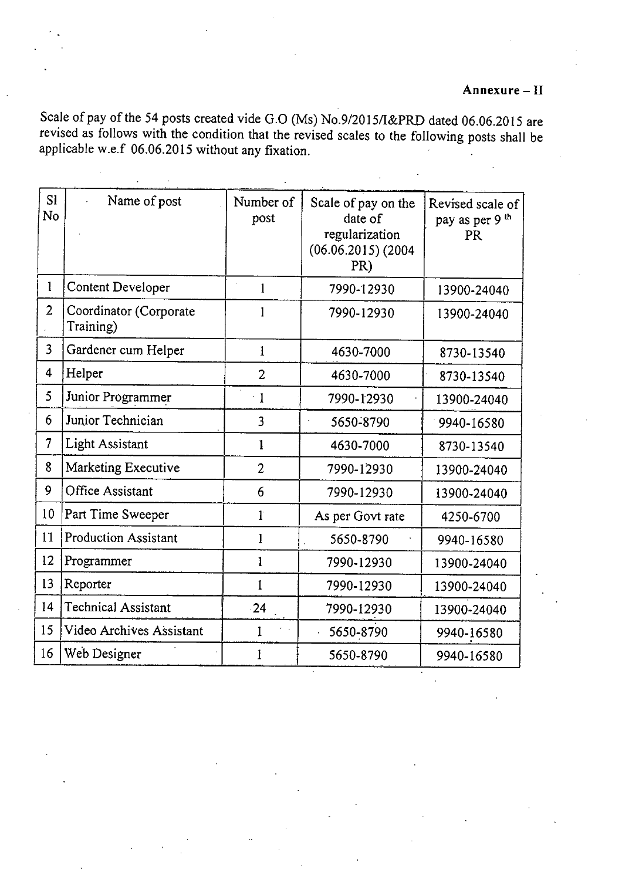## **Annexure** - **II**

Scale of pay of the *54* posts created vide G.O (Ms) No.9/2015/I&PRD dated 06.06.20 15 are revised as follows with the condition that the revised scales to the following posts shall be applicable w.e.f 06.06.20 15 without any *fixation.* 

| <b>S1</b><br>No | Name of post                        | Number of<br>post | Scale of pay on the<br>date of<br>regularization<br>$(06.06.2015)$ (2004)<br>PR) | Revised scale of<br>pay as per 9 <sup>th</sup><br><b>PR</b> |
|-----------------|-------------------------------------|-------------------|----------------------------------------------------------------------------------|-------------------------------------------------------------|
| 1               | Content Developer                   |                   | 7990-12930                                                                       | 13900-24040                                                 |
| $\overline{2}$  | Coordinator (Corporate<br>Training) |                   | 7990-12930                                                                       | 13900-24040                                                 |
| 3               | Gardener cum Helper                 | $\mathbf{1}$      | 4630-7000                                                                        | 8730-13540                                                  |
| 4               | Helper                              | $\overline{2}$    | 4630-7000                                                                        | 8730-13540                                                  |
| 5               | Junior Programmer                   | $\cdot$ 1         | 7990-12930                                                                       | 13900-24040                                                 |
| 6               | Junior Technician                   | 3                 | 5650-8790                                                                        | 9940-16580                                                  |
| 7               | <b>Light Assistant</b>              | 1                 | 4630-7000                                                                        | 8730-13540                                                  |
| 8               | Marketing Executive                 | $\overline{2}$    | 7990-12930                                                                       | 13900-24040                                                 |
| 9               | Office Assistant                    | 6                 | 7990-12930                                                                       | 13900-24040                                                 |
| 10 <sup>1</sup> | Part Time Sweeper                   | ľ                 | As per Govt rate                                                                 | 4250-6700                                                   |
| 11              | <b>Production Assistant</b>         | 1                 | 5650-8790                                                                        | 9940-16580                                                  |
| 12              | Programmer                          | $\mathbf{1}$      | 7990-12930                                                                       | 13900-24040                                                 |
| 13              | Reporter                            | 1                 | 7990-12930                                                                       | 13900-24040                                                 |
| 14              | <b>Technical Assistant</b>          | $-24$             | 7990-12930                                                                       | 13900-24040                                                 |
| 15              | Video Archives Assistant            | 1                 | 5650-8790                                                                        | 9940-16580                                                  |
| 16              | Web Designer                        | 1                 | 5650-8790                                                                        | 9940-16580                                                  |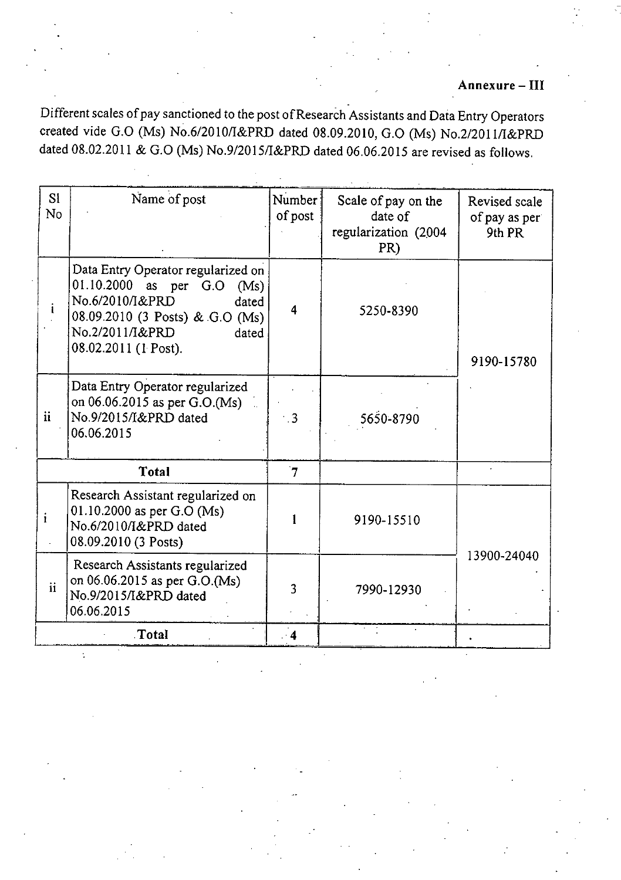Different scales of pay sanctioned to the post of Research Assistants and Data Entry Operators created vide G.O (Ms) No.6/2010/I&PRD dated 08.09.2010, G.O (Ms) No.2/2011/I&PRD dated 08.02.2011 & G.O (Ms) No.9/2015/I&PRD dated 06.06.2015 are revised as follows.

| Si<br>No            | Name of post                                                                                                                                                                           | Number<br>of post       | Scale of pay on the<br>date of<br>regularization (2004<br>PR) | Revised scale<br>of pay as per<br>9th PR |
|---------------------|----------------------------------------------------------------------------------------------------------------------------------------------------------------------------------------|-------------------------|---------------------------------------------------------------|------------------------------------------|
|                     | Data Entry Operator regularized on<br>01.10.2000<br>as per G.O (Ms)<br>No.6/2010/I&PRD<br>dated<br>08.09.2010 (3 Posts) & G.O (Ms)<br>No.2/2011/I&PRD<br>dated<br>08.02.2011 (1 Post). | $\overline{\mathbf{4}}$ | 5250-8390                                                     | 9190-15780                               |
| ii                  | Data Entry Operator regularized<br>on 06.06.2015 as per G.O.(Ms)<br>No.9/2015/I&PRD dated<br>06.06.2015                                                                                | $\overline{3}$          | 5650-8790                                                     |                                          |
|                     | <b>Total</b>                                                                                                                                                                           | $\overline{7}$          |                                                               |                                          |
| ı                   | Research Assistant regularized on<br>01.10.2000 as per G.O (Ms)<br>No.6/2010/I&PRD dated<br>08.09.2010 (3 Posts)                                                                       |                         | 9190-15510                                                    |                                          |
| $\ddot{\mathbf{i}}$ | Research Assistants regularized<br>on 06.06.2015 as per G.O.(Ms)<br>No.9/2015/I&PRD dated<br>06.06.2015                                                                                | 3                       | 7990-12930                                                    | 13900-24040                              |
|                     | Total                                                                                                                                                                                  | $\cdot$ 4               |                                                               |                                          |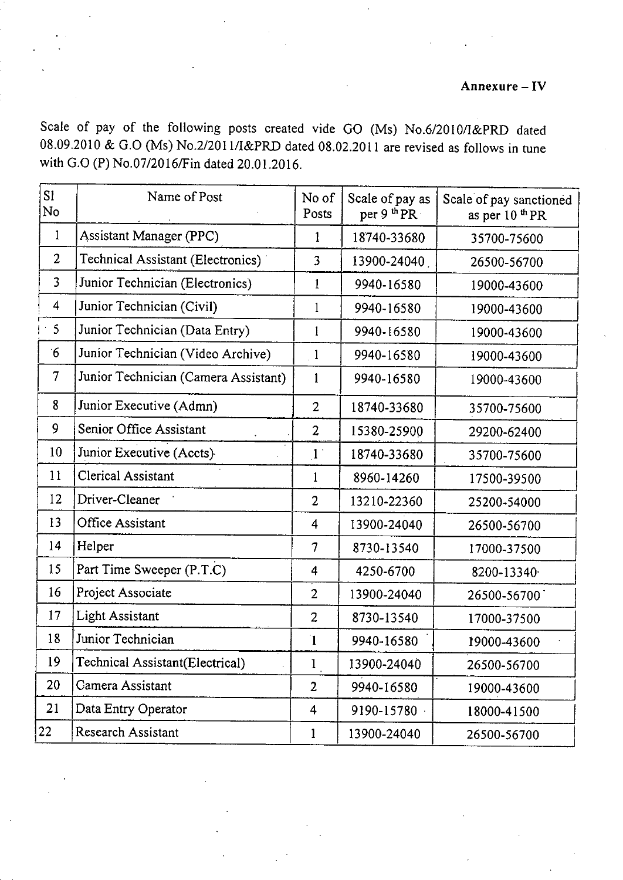## **Annexure** - IV

Scale of pay of the following posts created vide GO (Ms) No.6/2010/I&PRD dated 08.09.2010 & 0.0 (Ms) *No.2/201* 1/I&PRD dated 08.02.2011 are revised as follows in tune with 0.0 (P) No.07/2016/Fin dated 20.01.2016.

| S1<br>No                 | Name of Post                         | No of<br>Posts | Scale of pay as<br>per 9 <sup>th</sup> PR. | Scale of pay sanctioned<br>as per 10 <sup>th</sup> PR |
|--------------------------|--------------------------------------|----------------|--------------------------------------------|-------------------------------------------------------|
| $\mathbf{I}$             | Assistant Manager (PPC)              | 1              | 18740-33680                                | 35700-75600                                           |
| $\overline{2}$           | Technical Assistant (Electronics)    | 3              | 13900-24040                                | 26500-56700                                           |
| $\overline{3}$           | Junior Technician (Electronics)      | 1              | 9940-16580                                 | 19000-43600                                           |
| $\overline{4}$           | Junior Technician (Civil)            | 1              | 9940-16580                                 | 19000-43600                                           |
| 5                        | Junior Technician (Data Entry)       | I              | 9940-16580                                 | 19000-43600                                           |
| $6^{\circ}$              | Junior Technician (Video Archive)    | $\overline{1}$ | 9940-16580                                 | 19000-43600                                           |
| $\overline{\mathcal{L}}$ | Junior Technician (Camera Assistant) | 1              | 9940-16580                                 | 19000-43600                                           |
| 8                        | Junior Executive (Admn)              | $\overline{2}$ | 18740-33680                                | 35700-75600                                           |
| 9                        | Senior Office Assistant              | $\overline{2}$ | 15380-25900                                | 29200-62400                                           |
| 10                       | Junior Executive (Accts)             | $\mathbf{1}$   | 18740-33680                                | 35700-75600                                           |
| 11                       | Clerical Assistant                   | 1              | 8960-14260                                 | 17500-39500                                           |
| 12                       | Driver-Cleaner                       | $\overline{2}$ | 13210-22360                                | 25200-54000                                           |
| 13                       | <b>Office Assistant</b>              | 4              | 13900-24040                                | 26500-56700                                           |
| 14                       | Helper                               | $\tau$         | 8730-13540                                 | 17000-37500                                           |
| 15                       | Part Time Sweeper (P.T.C)            | 4              | 4250-6700                                  | 8200-13340                                            |
| 16                       | Project Associate                    | $\overline{2}$ | 13900-24040                                | 26500-56700                                           |
| 17                       | Light Assistant                      | $\overline{2}$ | 8730-13540                                 | 17000-37500                                           |
| 18                       | Junior Technician                    | $\mathbf{I}$   | 9940-16580                                 | 19000-43600                                           |
| 19                       | Technical Assistant(Electrical)      | $\mathbf{1}$   | 13900-24040                                | 26500-56700                                           |
| 20                       | Camera Assistant                     | $\overline{2}$ | 9940-16580                                 | 19000-43600                                           |
| 21                       | Data Entry Operator                  | 4              | 9190-15780                                 | 18000-41500                                           |
| 22                       | <b>Research Assistant</b>            | $\bf{l}$       | 13900-24040                                | 26500-56700                                           |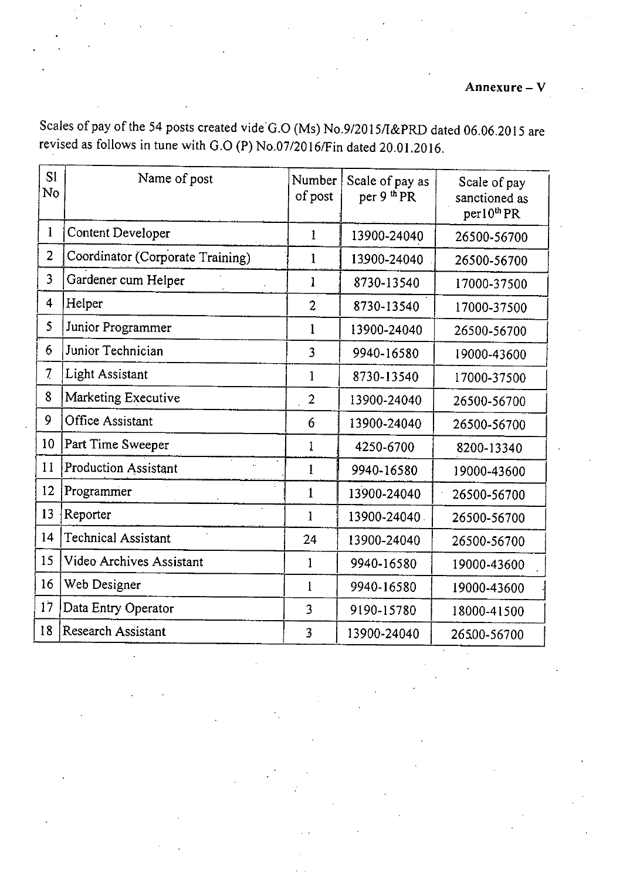**Annexure - V** 

Scales of pay of the 54 posts created vide G.O (Ms) No.9/2015/I&PRD dated 06.06.2015 are

| <b>SI</b><br>No         | Name of post                     | Number<br>of post  | Scale of pay as<br>per 9 <sup>th</sup> PR | Scale of pay<br>sanctioned as<br>$per10^{th}$ PR |
|-------------------------|----------------------------------|--------------------|-------------------------------------------|--------------------------------------------------|
| $\mathbf{1}$            | <b>Content Developer</b>         | 1                  | 13900-24040                               | 26500-56700                                      |
| $\overline{2}$          | Coordinator (Corporate Training) | $\mathbf{1}$       | 13900-24040                               | 26500-56700                                      |
| $\overline{3}$          | Gardener cum Helper              | $\mathbf{1}$       | 8730-13540                                | 17000-37500                                      |
| $\overline{\mathbf{4}}$ | Helper                           | $\overline{2}$     | 8730-13540                                | 17000-37500                                      |
| 5                       | Junior Programmer                | 1                  | 13900-24040                               | 26500-56700                                      |
| 6                       | Junior Technician                | 3                  | 9940-16580                                | 19000-43600                                      |
| 7 <sub>1</sub>          | <b>Light Assistant</b>           | $\mathbf{1}$       | 8730-13540                                | 17000-37500                                      |
| 8                       | Marketing Executive              | $\overline{2}$     | 13900-24040                               | 26500-56700                                      |
| 9                       | <b>Office Assistant</b>          | 6                  | 13900-24040                               | 26500-56700                                      |
| 10                      | Part Time Sweeper                | $\mathbf{1}$       | 4250-6700                                 | 8200-13340                                       |
| 11                      | <b>Production Assistant</b>      | $\mathbf{l}$       | 9940-16580                                | 19000-43600                                      |
| 12                      | Programmer                       | Y.<br>$\mathbf{1}$ | 13900-24040                               | 26500-56700                                      |
| 13                      | Reporter                         | $\mathbf{1}$       | 13900-24040.                              | 26500-56700                                      |
| 14                      | <b>Technical Assistant</b>       | 24                 | 13900-24040                               | 26500-56700                                      |
| 15                      | Video Archives Assistant         | $\mathbf{1}$       | 9940-16580                                | 19000-43600                                      |
| 16                      | Web Designer                     | $\mathbf{1}$       | 9940-16580                                | 19000-43600                                      |
| 17                      | Data Entry Operator              | 3                  | 9190-15780                                | 18000-41500                                      |
| 18                      | Research Assistant               | 3                  | 13900-24040                               | 26500-56700                                      |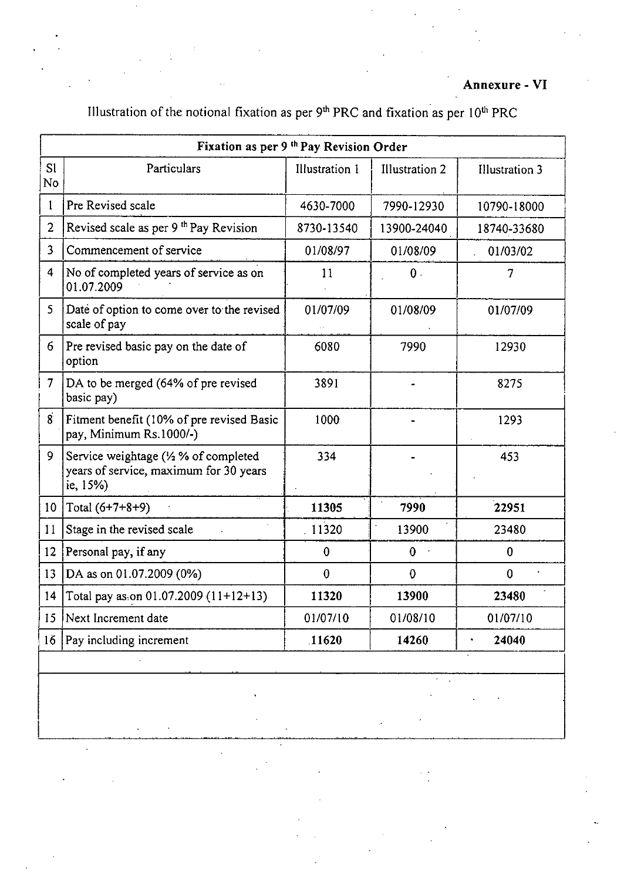## **Annexure - VI**

# Illustration of the notional fixation as per  $9<sup>th</sup> PRC$  and fixation as per  $10<sup>th</sup> PRC$

|                      | Fixation as per 9 <sup>th</sup> Pay Revision Order                                                   |                |                       |                       |
|----------------------|------------------------------------------------------------------------------------------------------|----------------|-----------------------|-----------------------|
| S <sub>1</sub><br>No | Particulars                                                                                          | Illustration 1 | <b>Illustration 2</b> | <b>Illustration 3</b> |
| $\mathbf{1}$         | Pre Revised scale                                                                                    | 4630-7000      | 7990-12930            | 10790-18000           |
| $\overline{2}$       | Revised scale as per 9 <sup>th</sup> Pay Revision                                                    | 8730-13540     | 13900-24040           | 18740-33680           |
| 3                    | Commencement of service                                                                              | 01/08/97       | 01/08/09              | 01/03/02              |
| $\overline{4}$       | No of completed years of service as on<br>01.07.2009                                                 | 11             | 0.                    | 7                     |
| 5                    | Date of option to come over to the revised<br>scale of pay                                           | 01/07/09       | 01/08/09              | 01/07/09              |
| 6                    | Pre revised basic pay on the date of<br>option                                                       | 6080           | 7990                  | 12930                 |
| $\overline{7}$       | DA to be merged (64% of pre revised<br>basic pay)                                                    | 3891           |                       | 8275                  |
| $\overline{8}$       | Fitment benefit (10% of pre revised Basic<br>pay, Minimum Rs.1000/-)                                 | 1000           |                       | 1293                  |
| 9                    | Service weightage $\frac{1}{2}$ % of completed<br>years of service, maximum for 30 years<br>ie, 15%) | 334            |                       | 453                   |
| 10 <sup>°</sup>      | Total $(6+7+8+9)$                                                                                    | 11305          | 7990                  | 22951                 |
| 11                   | Stage in the revised scale                                                                           | 11320          | 13900                 | 23480                 |
| 12                   | Personal pay, if any                                                                                 | $\bf{0}$       | $\mathbf 0$           | $\bf{0}$              |
| 13                   | DA as on 01.07.2009 (0%)                                                                             | $\bf{0}$       | $\mathbf 0$           | $\mathbf 0$           |
|                      | 14   Total pay as on $01.07.2009$ (11+12+13)                                                         | 11320          | 13900                 | 23480                 |
| 15                   | Next Increment date                                                                                  | 01/07/10       | 01/08/10              | 01/07/10              |
| 16                   | Pay including increment                                                                              | 11620          | 14260                 | 24040                 |